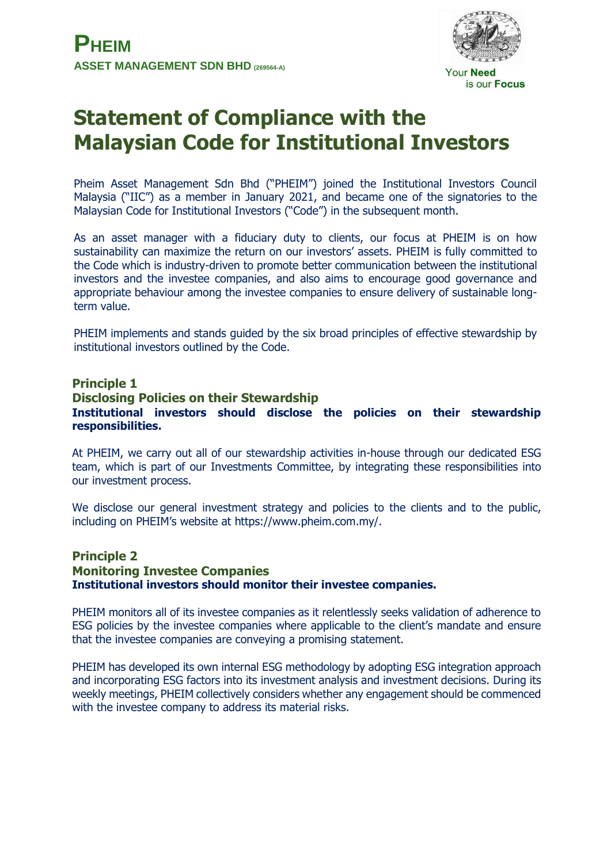

# **Statement of Compliance with the Malaysian Code for Institutional Investors**

Pheim Asset Management Sdn Bhd ("PHEIM") joined the Institutional Investors Council Malaysia ("IIC") as a member in January 2021, and became one of the signatories to the Malaysian Code for Institutional Investors ("Code") in the subsequent month.

As an asset manager with a fiduciary duty to clients, our focus at PHEIM is on how sustainability can maximize the return on our investors' assets. PHEIM is fully committed to the Code which is industry-driven to promote better communication between the institutional investors and the investee companies, and also aims to encourage good governance and appropriate behaviour among the investee companies to ensure delivery of sustainable longterm value.

PHEIM implements and stands guided by the six broad principles of effective stewardship by institutional investors outlined by the Code.

# **Principle 1 Disclosing Policies on their Stewardship Institutional investors should disclose the policies on their stewardship responsibilities.**

At PHEIM, we carry out all of our stewardship activities in-house through our dedicated ESG team, which is part of our Investments Committee, by integrating these responsibilities into our investment process.

We disclose our general investment strategy and policies to the clients and to the public, including on PHEIM's website at https://www.pheim.com.my/.

# **Principle 2 Monitoring Investee Companies Institutional investors should monitor their investee companies.**

PHEIM monitors all of its investee companies as it relentlessly seeks validation of adherence to ESG policies by the investee companies where applicable to the client's mandate and ensure that the investee companies are conveying a promising statement.

PHEIM has developed its own internal ESG methodology by adopting ESG integration approach and incorporating ESG factors into its investment analysis and investment decisions. During its weekly meetings, PHEIM collectively considers whether any engagement should be commenced with the investee company to address its material risks.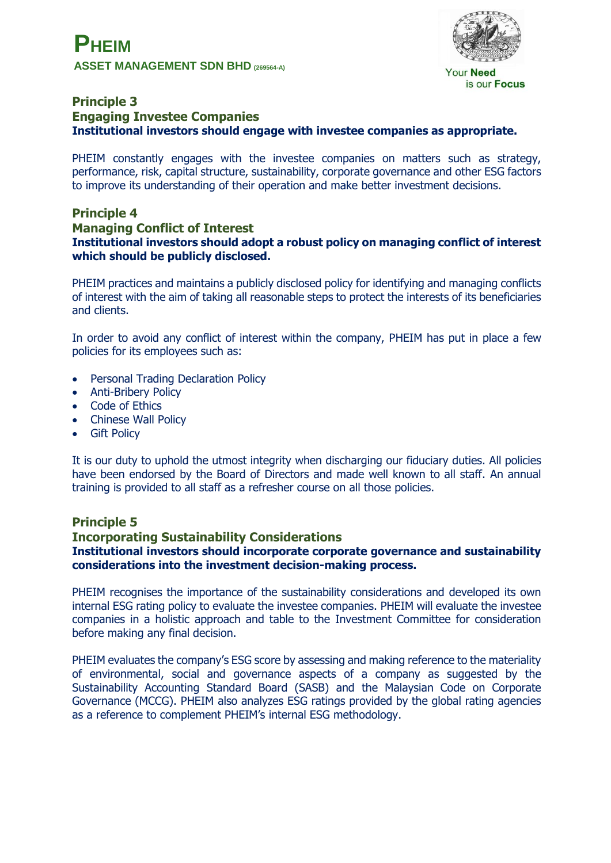

**Your Need** is our Focus

# **Principle 3 Engaging Investee Companies Institutional investors should engage with investee companies as appropriate.**

PHEIM constantly engages with the investee companies on matters such as strategy, performance, risk, capital structure, sustainability, corporate governance and other ESG factors to improve its understanding of their operation and make better investment decisions.

#### **Principle 4 Managing Conflict of Interest Institutional investors should adopt a robust policy on managing conflict of interest which should be publicly disclosed.**

PHEIM practices and maintains a publicly disclosed policy for identifying and managing conflicts of interest with the aim of taking all reasonable steps to protect the interests of its beneficiaries and clients.

In order to avoid any conflict of interest within the company, PHEIM has put in place a few policies for its employees such as:

- Personal Trading Declaration Policy
- Anti-Bribery Policy
- Code of Ethics
- Chinese Wall Policy
- **•** Gift Policy

It is our duty to uphold the utmost integrity when discharging our fiduciary duties. All policies have been endorsed by the Board of Directors and made well known to all staff. An annual training is provided to all staff as a refresher course on all those policies.

# **Principle 5**

# **Incorporating Sustainability Considerations Institutional investors should incorporate corporate governance and sustainability considerations into the investment decision-making process.**

PHEIM recognises the importance of the sustainability considerations and developed its own internal ESG rating policy to evaluate the investee companies. PHEIM will evaluate the investee companies in a holistic approach and table to the Investment Committee for consideration before making any final decision.

PHEIM evaluates the company's ESG score by assessing and making reference to the materiality of environmental, social and governance aspects of a company as suggested by the Sustainability Accounting Standard Board (SASB) and the Malaysian Code on Corporate Governance (MCCG). PHEIM also analyzes ESG ratings provided by the global rating agencies as a reference to complement PHEIM's internal ESG methodology.